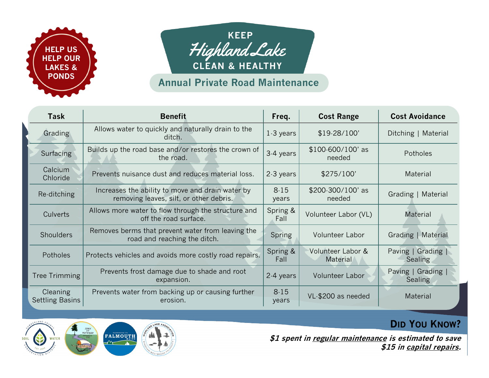



## **Annual Private Road Maintenance**

| <b>Task</b>                        | <b>Benefit</b>                                                                              | Freq.             | <b>Cost Range</b>             | <b>Cost Avoidance</b>                |
|------------------------------------|---------------------------------------------------------------------------------------------|-------------------|-------------------------------|--------------------------------------|
| Grading                            | Allows water to quickly and naturally drain to the<br>ditch.                                | 1.3 years         | \$19.28/100'                  | Ditching   Material                  |
| Surfacing                          | Builds up the road base and/or restores the crown of<br>the road.                           | 3-4 years         | \$100-600/100' as<br>needed   | <b>Potholes</b>                      |
| Calcium<br>Chloride                | Prevents nuisance dust and reduces material loss.                                           | 2-3 years         | \$275/100                     | Material                             |
| Re-ditching                        | Increases the ability to move and drain water by<br>removing leaves, silt, or other debris. | $8 - 15$<br>years | \$200-300/100' as<br>needed   | Grading   Material                   |
| Culverts                           | Allows more water to flow through the structure and<br>off the road surface.                | Spring &<br>Fall  | Volunteer Labor (VL)          | Material                             |
| <b>Shoulders</b>                   | Removes berms that prevent water from leaving the<br>road and reaching the ditch.           | Spring            | <b>Volunteer Labor</b>        | Grading   Material                   |
| Potholes                           | Protects vehicles and avoids more costly road repairs.                                      | Spring &<br>Fall  | Volunteer Labor &<br>Material | Paving   Grading  <br><b>Sealing</b> |
| Tree Trimming                      | Prevents frost damage due to shade and root<br>expansion.                                   | 2-4 years         | <b>Volunteer Labor</b>        | Paving   Grading  <br><b>Sealing</b> |
| Cleaning<br><b>Settling Basins</b> | Prevents water from backing up or causing further<br>erosion.                               | $8 - 15$<br>years | VL-\$200 as needed            | <b>Material</b>                      |



**\$1 spent in regular maintenance is estimated to save \$15 in capital repairs.**

**DID YOU KNOW?**